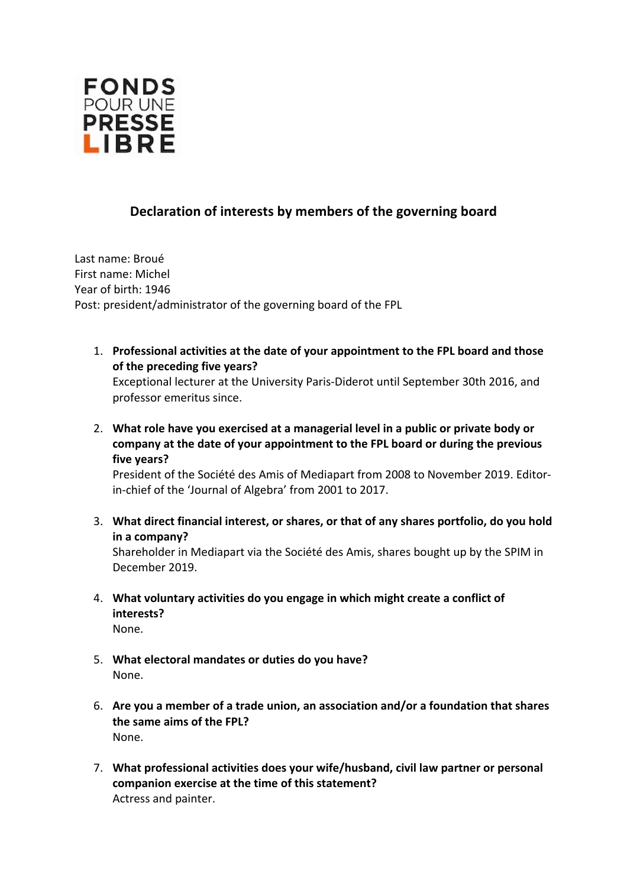

## **Declaration of interests by members of the governing board**

Last name: Broué First name: Michel Year of birth: 1946 Post: president/administrator of the governing board of the FPL

- 1. **Professional activities at the date of your appointment to the FPL board and those of the preceding five years?** Exceptional lecturer at the University Paris-Diderot until September 30th 2016, and professor emeritus since.
- 2. **What role have you exercised at a managerial level in a public or private body or company at the date of your appointment to the FPL board or during the previous five years?**

President of the Société des Amis of Mediapart from 2008 to November 2019. Editorin-chief of the 'Journal of Algebra' from 2001 to 2017.

3. **What direct financial interest, or shares, or that of any shares portfolio, do you hold in a company?**

Shareholder in Mediapart via the Société des Amis, shares bought up by the SPIM in December 2019.

- 4. **What voluntary activities do you engage in which might create a conflict of interests?**
	- None.
- 5. **What electoral mandates or duties do you have?** None.
- 6. **Are you a member of a trade union, an association and/or a foundation that shares the same aims of the FPL?** None.
- 7. **What professional activities does your wife/husband, civil law partner or personal companion exercise at the time of this statement?** Actress and painter.